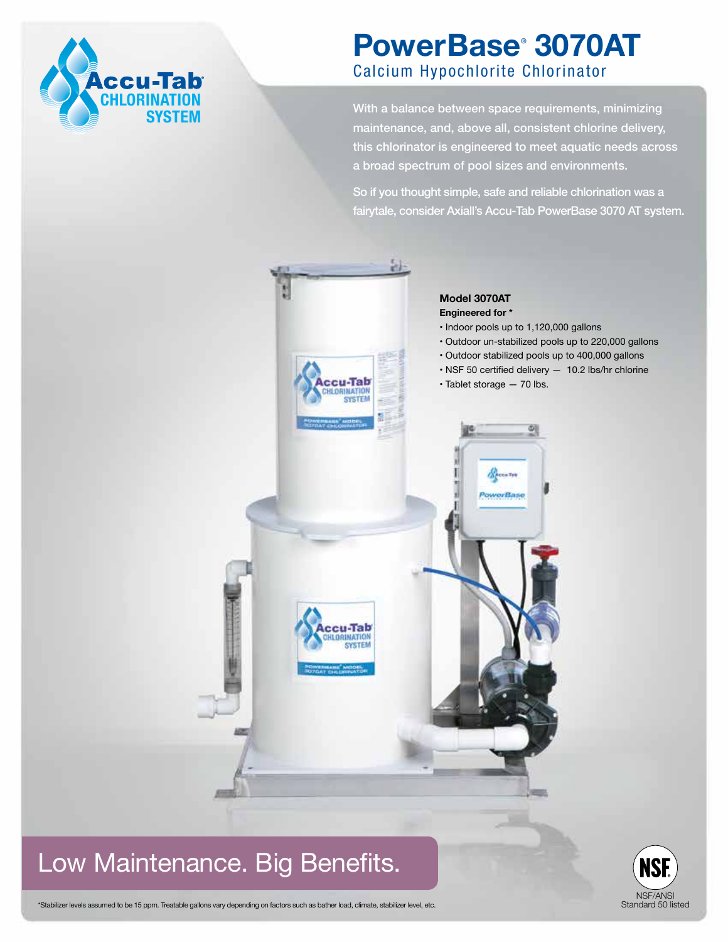

## **PowerBase**®  **3070AT** Calcium Hypochlorite Chlorinator

With a balance between space requirements, minimizing maintenance, and, above all, consistent chlorine delivery, this chlorinator is engineered to meet aquatic needs across a broad spectrum of pool sizes and environments.

So if you thought simple, safe and reliable chlorination was a fairytale, consider Axiall's Accu-Tab PowerBase 3070 AT system.



## Low Maintenance. Big Benefits.



\*Stabilizer levels assumed to be 15 ppm. Treatable gallons vary depending on factors such as bather load, climate, stabilizer level, etc.